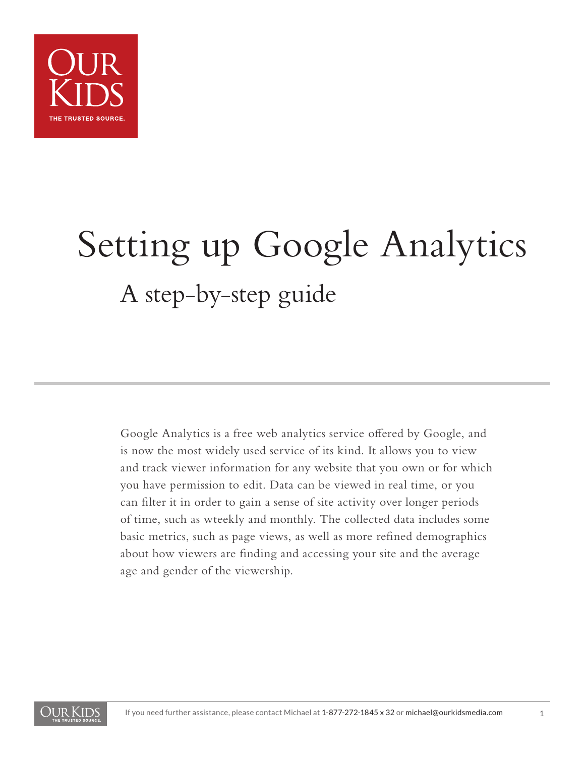

# Setting up Google Analytics A step-by-step guide

Google Analytics is a free web analytics service offered by Google, and is now the most widely used service of its kind. It allows you to view and track viewer information for any website that you own or for which you have permission to edit. Data can be viewed in real time, or you can filter it in order to gain a sense of site activity over longer periods of time, such as wteekly and monthly. The collected data includes some basic metrics, such as page views, as well as more refined demographics about how viewers are finding and accessing your site and the average age and gender of the viewership.

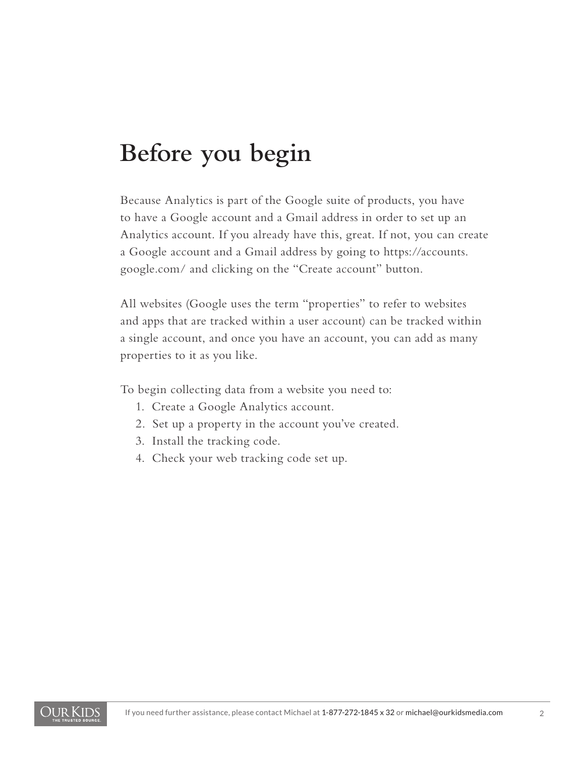# **Before you begin**

Because Analytics is part of the Google suite of products, you have to have a Google account and a Gmail address in order to set up an Analytics account. If you already have this, great. If not, you can create a Google account and a Gmail address by going to https://accounts. google.com/ and clicking on the "Create account" button.

All websites (Google uses the term "properties" to refer to websites and apps that are tracked within a user account) can be tracked within a single account, and once you have an account, you can add as many properties to it as you like.

To begin collecting data from a website you need to:

- 1. Create a Google Analytics account.
- 2. Set up a property in the account you've created.
- 3. Install the tracking code.
- 4. Check your web tracking code set up.

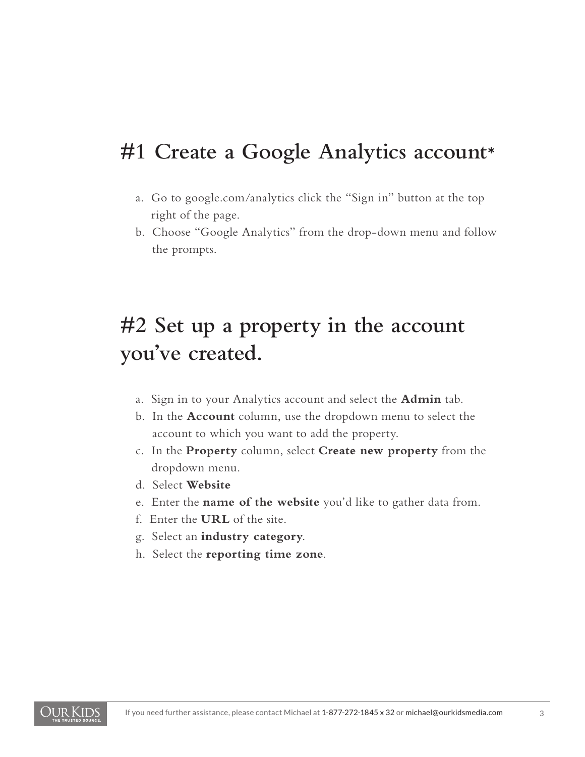#### **#1 Create a Google Analytics account**

- a. Go to google.com/analytics click the "Sign in" button at the top right of the page.
- b. Choose "Google Analytics" from the drop-down menu and follow the prompts.

## **#2 Set up a property in the account you've created.**

- a. Sign in to your Analytics account and select the **Admin** tab.
- b. In the **Account** column, use the dropdown menu to select the account to which you want to add the property.
- c. In the **Property** column, select **Create new property** from the dropdown menu.
- d. Select **Website**
- e. Enter the **name of the website** you'd like to gather data from.
- f. Enter the **URL** of the site.
- g. Select an **industry category**.
- h. Select the **reporting time zone**.